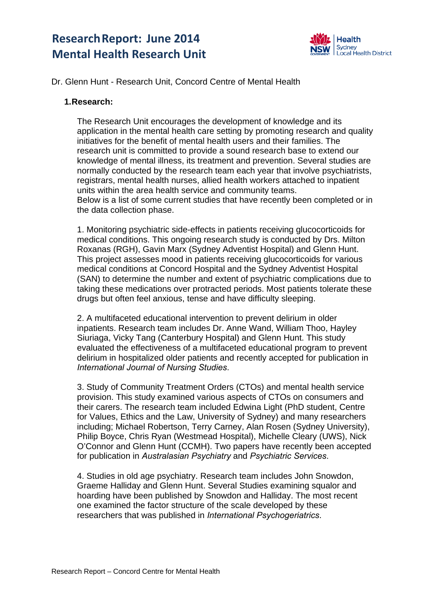# **Research Report: June 2014 Mental Health Research Unit**



# Dr. Glenn Hunt - Research Unit, Concord Centre of Mental Health

#### **1. Research:**

The Research Unit encourages the development of knowledge and its application in the mental health care setting by promoting research and quality initiatives for the benefit of mental health users and their families. The research unit is committed to provide a sound research base to extend our knowledge of mental illness, its treatment and prevention. Several studies are normally conducted by the research team each year that involve psychiatrists, registrars, mental health nurses, allied health workers attached to inpatient units within the area health service and community teams. Below is a list of some current studies that have recently been completed or in the data collection phase.

1. Monitoring psychiatric side-effects in patients receiving glucocorticoids for medical conditions. This ongoing research study is conducted by Drs. Milton Roxanas (RGH), Gavin Marx (Sydney Adventist Hospital) and Glenn Hunt. This project assesses mood in patients receiving glucocorticoids for various medical conditions at Concord Hospital and the Sydney Adventist Hospital (SAN) to determine the number and extent of psychiatric complications due to taking these medications over protracted periods. Most patients tolerate these drugs but often feel anxious, tense and have difficulty sleeping.

2. A multifaceted educational intervention to prevent delirium in older inpatients. Research team includes Dr. Anne Wand, William Thoo, Hayley Siuriaga, Vicky Tang (Canterbury Hospital) and Glenn Hunt. This study evaluated the effectiveness of a multifaceted educational program to prevent delirium in hospitalized older patients and recently accepted for publication in *International Journal of Nursing Studies*.

3. Study of Community Treatment Orders (CTOs) and mental health service provision. This study examined various aspects of CTOs on consumers and their carers. The research team included Edwina Light (PhD student, Centre for Values, Ethics and the Law, University of Sydney) and many researchers including; Michael Robertson, Terry Carney, Alan Rosen (Sydney University), Philip Boyce, Chris Ryan (Westmead Hospital), Michelle Cleary (UWS), Nick O'Connor and Glenn Hunt (CCMH). Two papers have recently been accepted for publication in *Australasian Psychiatry* and *Psychiatric Services*.

4. Studies in old age psychiatry. Research team includes John Snowdon, Graeme Halliday and Glenn Hunt. Several Studies examining squalor and hoarding have been published by Snowdon and Halliday. The most recent one examined the factor structure of the scale developed by these researchers that was published in *International Psychogeriatrics*.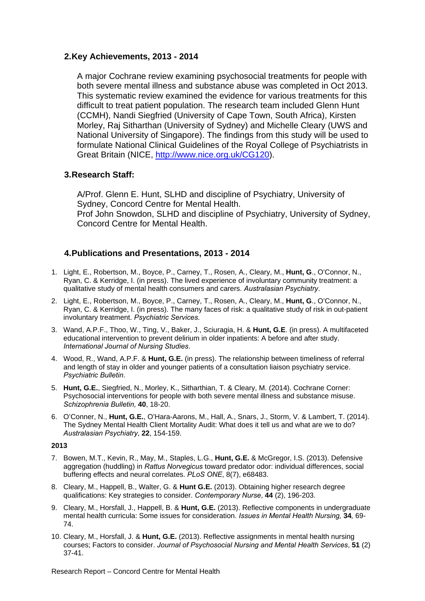## **2. Key Achievements, 2013 - 2014**

A major Cochrane review examining psychosocial treatments for people with both severe mental illness and substance abuse was completed in Oct 2013. This systematic review examined the evidence for various treatments for this difficult to treat patient population. The research team included Glenn Hunt (CCMH), Nandi Siegfried (University of Cape Town, South Africa), Kirsten Morley, Raj Sitharthan (University of Sydney) and Michelle Cleary (UWS and National University of Singapore). The findings from this study will be used to formulate National Clinical Guidelines of the Royal College of Psychiatrists in Great Britain (NICE, http://www.nice.org.uk/CG120).

# **3. Research Staff:**

A/Prof. Glenn E. Hunt, SLHD and discipline of Psychiatry, University of Sydney, Concord Centre for Mental Health. Prof John Snowdon, SLHD and discipline of Psychiatry, University of Sydney, Concord Centre for Mental Health.

# **4. Publications and Presentations, 2013 - 2014**

- 1. Light, E., Robertson, M., Boyce, P., Carney, T., Rosen, A., Cleary, M., **Hunt, G**., O'Connor, N., Ryan, C. & Kerridge, I. (in press). The lived experience of involuntary community treatment: a qualitative study of mental health consumers and carers. *Australasian Psychiatry*.
- 2. Light, E., Robertson, M., Boyce, P., Carney, T., Rosen, A., Cleary, M., **Hunt, G**., O'Connor, N., Ryan, C. & Kerridge, I. (in press). The many faces of risk: a qualitative study of risk in out-patient involuntary treatment. *Psychiatric Services*.
- 3. Wand, A.P.F., Thoo, W., Ting, V., Baker, J., Sciuragia, H. & **Hunt, G.E**. (in press). A multifaceted educational intervention to prevent delirium in older inpatients: A before and after study. *International Journal of Nursing Studies*.
- 4. Wood, R., Wand, A.P.F. & **Hunt, G.E.** (in press). The relationship between timeliness of referral and length of stay in older and younger patients of a consultation liaison psychiatry service. *Psychiatric Bulletin*.
- 5. **Hunt, G.E.**, Siegfried, N., Morley, K., Sitharthian, T. & Cleary, M. (2014). Cochrane Corner: Psychosocial interventions for people with both severe mental illness and substance misuse. *Schizophrenia Bulletin,* **40**, 18-20.
- 6. O'Conner, N., **Hunt, G.E.**, O'Hara-Aarons, M., Hall, A., Snars, J., Storm, V. & Lambert, T. (2014). The Sydney Mental Health Client Mortality Audit: What does it tell us and what are we to do? *Australasian Psychiatry*, **22**, 154-159.

#### **2013**

- 7. Bowen, M.T., Kevin, R., May, M., Staples, L.G., **Hunt, G.E.** & McGregor, I.S. (2013). Defensive aggregation (huddling) in *Rattus Norvegicus* toward predator odor: individual differences, social buffering effects and neural correlates. *PLoS ONE*, 8(7), e68483.
- 8. Cleary, M., Happell, B., Walter, G. & **Hunt G.E.** (2013). Obtaining higher research degree qualifications: Key strategies to consider. *Contemporary Nurse*, **44** (2), 196-203.
- 9. Cleary, M., Horsfall, J., Happell, B. & **Hunt, G.E.** (2013). Reflective components in undergraduate mental health curricula: Some issues for consideration*. Issues in Mental Health Nursing,* **34***,* 69- 74.
- 10. Cleary, M., Horsfall, J. & **Hunt, G.E.** (2013). Reflective assignments in mental health nursing courses; Factors to consider. *Journal of Psychosocial Nursing and Mental Health Services*, **51** (2) 37-41.